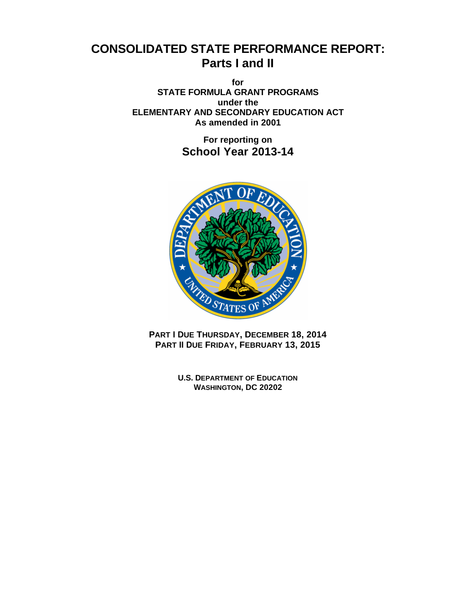# **CONSOLIDATED STATE PERFORMANCE REPORT: Parts I and II**

**for STATE FORMULA GRANT PROGRAMS under the ELEMENTARY AND SECONDARY EDUCATION ACT As amended in 2001**

> **For reporting on School Year 2013-14**



**PART I DUE THURSDAY, DECEMBER 18, 2014 PART II DUE FRIDAY, FEBRUARY 13, 2015** 

> **U.S. DEPARTMENT OF EDUCATION WASHINGTON, DC 20202**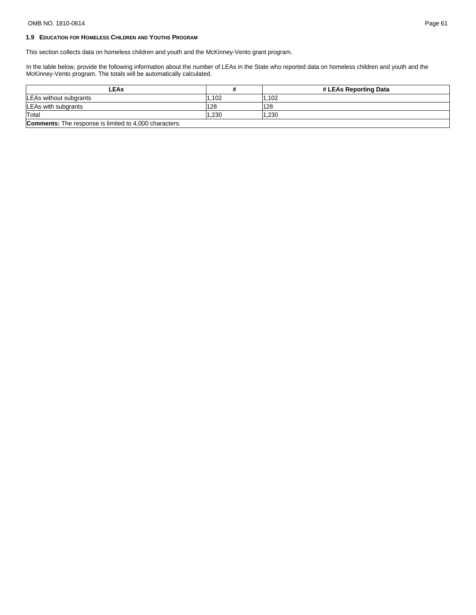## OMB NO. 1810-0614 Page 61

## **1.9 EDUCATION FOR HOMELESS CHILDREN AND YOUTHS PROGRAM**

This section collects data on homeless children and youth and the McKinney-Vento grant program.

In the table below, provide the following information about the number of LEAs in the State who reported data on homeless children and youth and the McKinney-Vento program. The totals will be automatically calculated.

| -EAs                                                          |       | # LEAs Reporting Data |  |
|---------------------------------------------------------------|-------|-----------------------|--|
| LEAs without subgrants                                        | .102  | .102                  |  |
| LEAs with subgrants                                           | 128   | 128                   |  |
| Total                                                         | 1.230 | 1.230                 |  |
| <b>Comments:</b> The response is limited to 4,000 characters. |       |                       |  |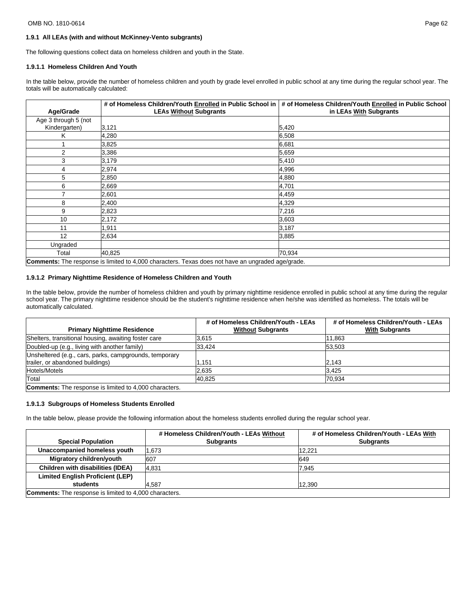#### OMB NO. 1810-0614 Page 62

## **1.9.1 All LEAs (with and without McKinney-Vento subgrants)**

The following questions collect data on homeless children and youth in the State.

#### **1.9.1.1 Homeless Children And Youth**

In the table below, provide the number of homeless children and youth by grade level enrolled in public school at any time during the regular school year. The totals will be automatically calculated:

|                                                                                                          | # of Homeless Children/Youth Enrolled in Public School in | # of Homeless Children/Youth Enrolled in Public School |  |  |
|----------------------------------------------------------------------------------------------------------|-----------------------------------------------------------|--------------------------------------------------------|--|--|
| Age/Grade                                                                                                | <b>LEAs Without Subgrants</b>                             | in LEAs With Subgrants                                 |  |  |
| Age 3 through 5 (not                                                                                     |                                                           |                                                        |  |  |
| Kindergarten)                                                                                            | 3,121                                                     | 5,420                                                  |  |  |
| Κ                                                                                                        | 4,280                                                     | 6.508                                                  |  |  |
|                                                                                                          | 3,825                                                     | 6,681                                                  |  |  |
| $\overline{2}$                                                                                           | 3,386                                                     | 5,659                                                  |  |  |
| 3                                                                                                        | 3,179                                                     | 5,410                                                  |  |  |
| 4                                                                                                        | 2,974                                                     | 4,996                                                  |  |  |
| 5                                                                                                        | 2,850                                                     | 4,880                                                  |  |  |
| 6                                                                                                        | 2,669                                                     | 4,701                                                  |  |  |
| 7                                                                                                        | 2,601                                                     | 4,459                                                  |  |  |
| 8                                                                                                        | 2,400                                                     | 4,329                                                  |  |  |
| 9                                                                                                        | 2,823                                                     | 7,216                                                  |  |  |
| 10                                                                                                       | 2,172                                                     | 3,603                                                  |  |  |
| 11                                                                                                       | 1,911                                                     | 3,187                                                  |  |  |
| 12                                                                                                       | 2,634                                                     | 3,885                                                  |  |  |
| Ungraded                                                                                                 |                                                           |                                                        |  |  |
| Total                                                                                                    | 40,825                                                    | 70,934                                                 |  |  |
| <b>Comments:</b> The response is limited to 4,000 characters. Texas does not have an ungraded age/grade. |                                                           |                                                        |  |  |

## **1.9.1.2 Primary Nighttime Residence of Homeless Children and Youth**

In the table below, provide the number of homeless children and youth by primary nighttime residence enrolled in public school at any time during the regular school year. The primary nighttime residence should be the student's nighttime residence when he/she was identified as homeless. The totals will be automatically calculated.

|                                                               | # of Homeless Children/Youth - LEAs | # of Homeless Children/Youth - LEAs |
|---------------------------------------------------------------|-------------------------------------|-------------------------------------|
| <b>Primary Nighttime Residence</b>                            | <b>Without Subgrants</b>            | <b>With Subgrants</b>               |
| Shelters, transitional housing, awaiting foster care          | 3.615                               | 11.863                              |
| Doubled-up (e.g., living with another family)                 | 33,424                              | 53.503                              |
| Unsheltered (e.g., cars, parks, campgrounds, temporary        |                                     |                                     |
| trailer, or abandoned buildings)                              | .151                                | 12.143                              |
| Hotels/Motels                                                 | 2.635                               | 3.425                               |
| Total                                                         | 40.825                              | 70.934                              |
| <b>Comments:</b> The response is limited to 4,000 characters. |                                     |                                     |

#### **1.9.1.3 Subgroups of Homeless Students Enrolled**

In the table below, please provide the following information about the homeless students enrolled during the regular school year.

|                                                               | # Homeless Children/Youth - LEAs Without | # of Homeless Children/Youth - LEAs With |  |
|---------------------------------------------------------------|------------------------------------------|------------------------------------------|--|
| <b>Special Population</b>                                     | <b>Subgrants</b>                         | <b>Subgrants</b>                         |  |
| Unaccompanied homeless youth                                  | 1.673                                    | 12.221                                   |  |
| Migratory children/youth                                      | 607                                      | 649                                      |  |
| Children with disabilities (IDEA)                             | 4.831                                    | 7.945                                    |  |
| <b>Limited English Proficient (LEP)</b>                       |                                          |                                          |  |
| students                                                      | 4.587                                    | 12,390                                   |  |
| <b>Comments:</b> The response is limited to 4,000 characters. |                                          |                                          |  |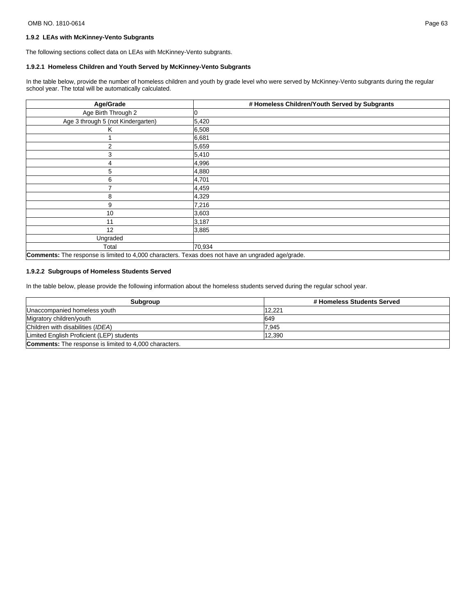## **1.9.2 LEAs with McKinney-Vento Subgrants**

The following sections collect data on LEAs with McKinney-Vento subgrants.

## **1.9.2.1 Homeless Children and Youth Served by McKinney-Vento Subgrants**

In the table below, provide the number of homeless children and youth by grade level who were served by McKinney-Vento subgrants during the regular school year. The total will be automatically calculated.

| Age/Grade                                                                                         | # Homeless Children/Youth Served by Subgrants |  |  |
|---------------------------------------------------------------------------------------------------|-----------------------------------------------|--|--|
| Age Birth Through 2                                                                               |                                               |  |  |
| Age 3 through 5 (not Kindergarten)                                                                | 5,420                                         |  |  |
| Κ                                                                                                 | 6,508                                         |  |  |
|                                                                                                   | 6,681                                         |  |  |
| 2                                                                                                 | 5,659                                         |  |  |
| 3                                                                                                 | 5,410                                         |  |  |
| 4                                                                                                 | 4,996                                         |  |  |
| 5                                                                                                 | 4,880                                         |  |  |
| 6                                                                                                 | 4,701                                         |  |  |
|                                                                                                   | 4,459                                         |  |  |
| 8                                                                                                 | 4,329                                         |  |  |
| 9                                                                                                 | 7,216                                         |  |  |
| 10                                                                                                | 3,603                                         |  |  |
| 11                                                                                                | 3,187                                         |  |  |
| 12                                                                                                | 3,885                                         |  |  |
| Ungraded                                                                                          |                                               |  |  |
| Total                                                                                             | 70,934                                        |  |  |
| Comments: The response is limited to 4,000 characters. Texas does not have an ungraded age/grade. |                                               |  |  |

## **1.9.2.2 Subgroups of Homeless Students Served**

In the table below, please provide the following information about the homeless students served during the regular school year.

| Subgroup                                                      | # Homeless Students Served |  |  |
|---------------------------------------------------------------|----------------------------|--|--|
| Unaccompanied homeless youth                                  | 12.221                     |  |  |
| Migratory children/youth                                      | 649                        |  |  |
| Children with disabilities (IDEA)                             | 7.945                      |  |  |
| Limited English Proficient (LEP) students                     | 12.390                     |  |  |
| <b>Comments:</b> The response is limited to 4,000 characters. |                            |  |  |